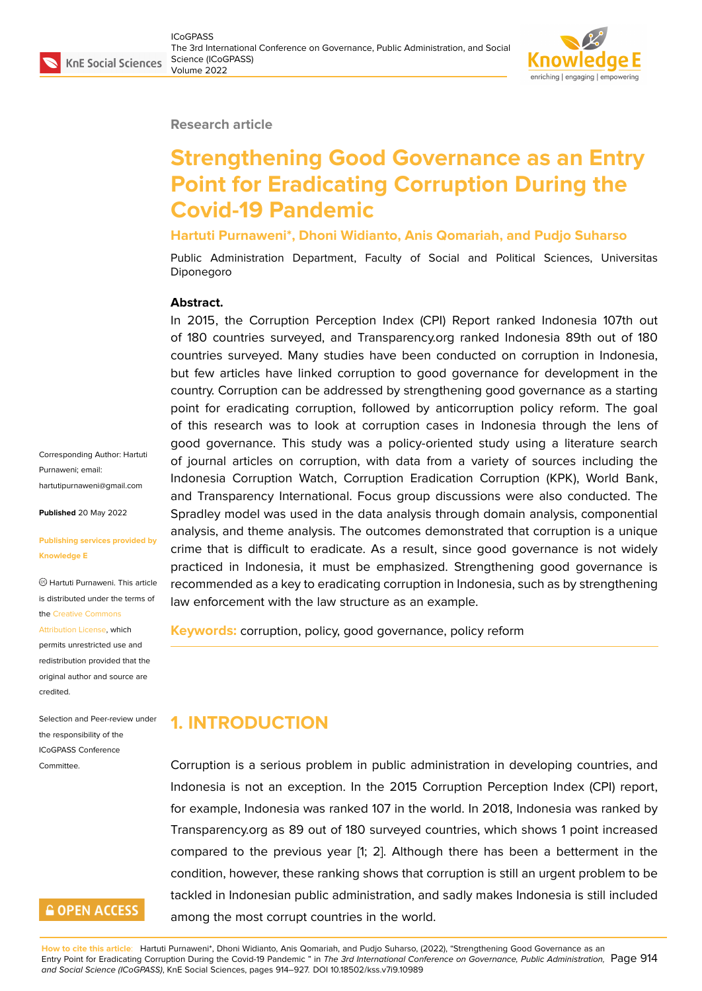#### **Research article**

# **Strengthening Good Governance as an Entry Point for Eradicating Corruption During the Covid-19 Pandemic**

#### **Hartuti Purnaweni\*, Dhoni Widianto, Anis Qomariah, and Pudjo Suharso**

Public Administration Department, Faculty of Social and Political Sciences, Universitas Diponegoro

#### **Abstract.**

In 2015, the Corruption Perception Index (CPI) Report ranked Indonesia 107th out of 180 countries surveyed, and Transparency.org ranked Indonesia 89th out of 180 countries surveyed. Many studies have been conducted on corruption in Indonesia, but few articles have linked corruption to good governance for development in the country. Corruption can be addressed by strengthening good governance as a starting point for eradicating corruption, followed by anticorruption policy reform. The goal of this research was to look at corruption cases in Indonesia through the lens of good governance. This study was a policy-oriented study using a literature search of journal articles on corruption, with data from a variety of sources including the Indonesia Corruption Watch, Corruption Eradication Corruption (KPK), World Bank, and Transparency International. Focus group discussions were also conducted. The Spradley model was used in the data analysis through domain analysis, componential analysis, and theme analysis. The outcomes demonstrated that corruption is a unique crime that is difficult to eradicate. As a result, since good governance is not widely practiced in Indonesia, it must be emphasized. Strengthening good governance is recommended as a key to eradicating corruption in Indonesia, such as by strengthening law enforcement with the law structure as an example.

**Keywords:** corruption, policy, good governance, policy reform

**1. INTRODUCTION**

Corruption is a serious problem in public administration in developing countries, and Indonesia is not an exception. In the 2015 Corruption Perception Index (CPI) report, for example, Indonesia was ranked 107 in the world. In 2018, Indonesia was ranked by Transparency.org as 89 out of 180 surveyed countries, which shows 1 point increased compared to the previous year [1; 2]. Although there has been a betterment in the condition, however, these ranking shows that corruption is still an urgent problem to be tackled in Indonesian public administration, and sadly makes Indonesia is still included among the most corrupt countries in the world.

Corresponding Author: Hartuti Purnaweni; email: hartutipurnaweni@gmail.com

**Published** 20 May 2022

#### **[Publishing services provided](mailto:hartutipurnaweni@gmail.com) by Knowledge E**

Hartuti Purnaweni. This article is distributed under the terms of the Creative Commons

#### Attribution License, which

permits unrestricted use and redistribution provided that the orig[inal author and sou](https://creativecommons.org/licenses/by/4.0/)rce are [credited.](https://creativecommons.org/licenses/by/4.0/)

Selection and Peer-review under the responsibility of the ICoGPASS Conference Committee.

**GOPEN ACCESS**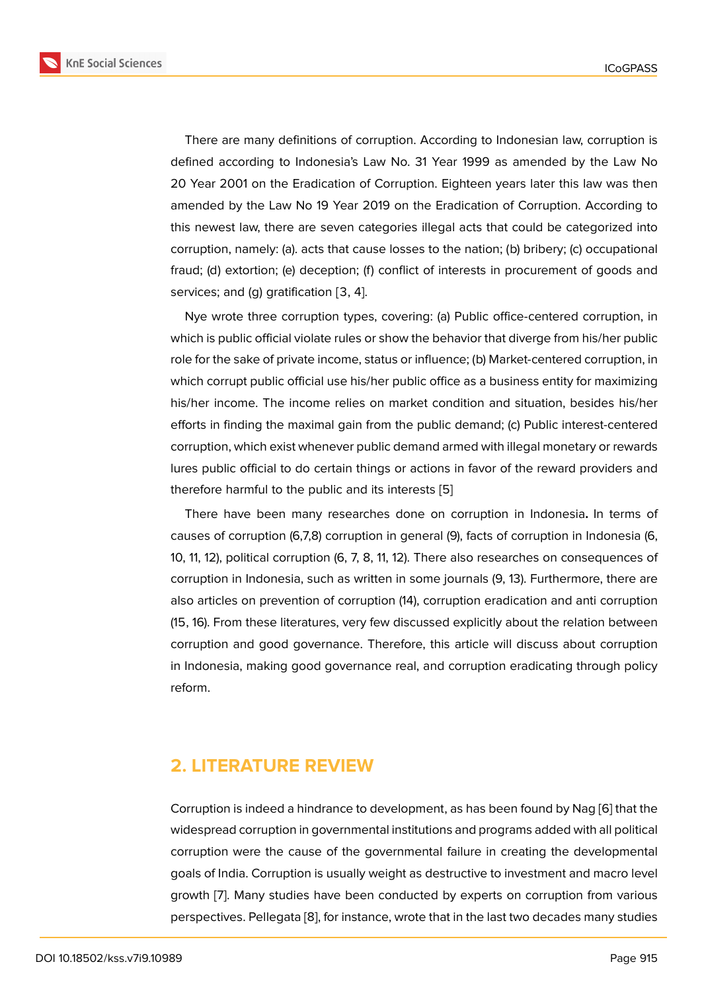There are many definitions of corruption. According to Indonesian law, corruption is defined according to Indonesia's Law No. 31 Year 1999 as amended by the Law No 20 Year 2001 on the Eradication of Corruption. Eighteen years later this law was then amended by the Law No 19 Year 2019 on the Eradication of Corruption. According to this newest law, there are seven categories illegal acts that could be categorized into corruption, namely: (a). acts that cause losses to the nation; (b) bribery; (c) occupational fraud; (d) extortion; (e) deception; (f) conflict of interests in procurement of goods and services; and (g) gratification [3, 4].

Nye wrote three corruption types, covering: (a) Public office-centered corruption, in which is public official violate rules or show the behavior that diverge from his/her public role for the sake of private income, status or influence; (b) Market-centered corruption, in which corrupt public official use his/her public office as a business entity for maximizing his/her income. The income relies on market condition and situation, besides his/her efforts in finding the maximal gain from the public demand; (c) Public interest-centered corruption, which exist whenever public demand armed with illegal monetary or rewards lures public official to do certain things or actions in favor of the reward providers and therefore harmful to the public and its interests [5]

There have been many researches done on corruption in Indonesia**.** In terms of causes of corruption (6,7,8) corruption in general (9), facts of corruption in Indonesia (6, 10, 11, 12), political corruption (6, 7, 8, 11, 12). Ther[e](#page-11-0) also researches on consequences of corruption in Indonesia, such as written in some journals (9, 13). Furthermore, there are also articles on prevention of corruption (14), corruption eradication and anti corruption (15, 16). From these literatures, very few discussed explicitly about the relation between corruption and good governance. Therefore, this article will discuss about corruption in Indonesia, making good governance real, and corruption eradicating through policy reform.

# **2. LITERATURE REVIEW**

Corruption is indeed a hindrance to development, as has been found by Nag [6] that the widespread corruption in governmental institutions and programs added with all political corruption were the cause of the governmental failure in creating the developmental goals of India. Corruption is usually weight as destructive to investment and [ma](#page-11-1)cro level growth [7]. Many studies have been conducted by experts on corruption from various perspectives. Pellegata [8], for instance, wrote that in the last two decades many studies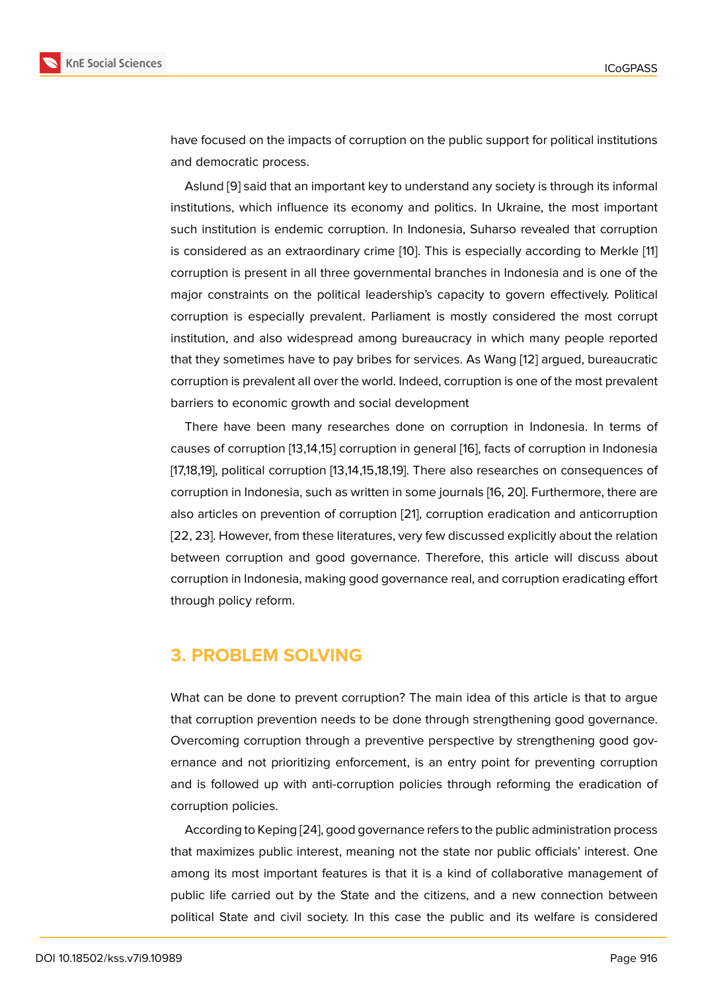have focused on the impacts of corruption on the public support for political institutions and democratic process.

Aslund [9] said that an important key to understand any society is through its informal institutions, which influence its economy and politics. In Ukraine, the most important such institution is endemic corruption. In Indonesia, Suharso revealed that corruption is conside[re](#page-11-2)d as an extraordinary crime [10]. This is especially according to Merkle [11] corruption is present in all three governmental branches in Indonesia and is one of the major constraints on the political leadership's capacity to govern effectively. Political corruption is especially prevalent. Parli[ame](#page-11-3)nt is mostly considered the most corr[upt](#page-11-4) institution, and also widespread among bureaucracy in which many people reported that they sometimes have to pay bribes for services. As Wang [12] argued, bureaucratic corruption is prevalent all over the world. Indeed, corruption is one of the most prevalent barriers to economic growth and social development

There have been many researches done on corruption i[n In](#page-11-5)donesia. In terms of causes of corruption [13,14,15] corruption in general [16], facts of corruption in Indonesia [17,18,19], political corruption [13,14,15,18,19]. There also researches on consequences of corruption in Indonesia, such as written in some journals [16, 20]. Furthermore, there are also articles on prevention of corruption [21], corrup[tio](#page-11-6)n eradication and anticorruption [22, 23]. However, from these literatures, very few discussed explicitly about the relation between corruption and good governance. Therefore, this article will discuss about corruption in Indonesia, making good gov[ern](#page-12-0)ance real, and corruption eradicating effort through policy reform.

## **3. PROBLEM SOLVING**

What can be done to prevent corruption? The main idea of this article is that to argue that corruption prevention needs to be done through strengthening good governance. Overcoming corruption through a preventive perspective by strengthening good governance and not prioritizing enforcement, is an entry point for preventing corruption and is followed up with anti-corruption policies through reforming the eradication of corruption policies.

According to Keping [24], good governance refers to the public administration process that maximizes public interest, meaning not the state nor public officials' interest. One among its most important features is that it is a kind of collaborative management of public life carried out [by t](#page-12-1)he State and the citizens, and a new connection between political State and civil society. In this case the public and its welfare is considered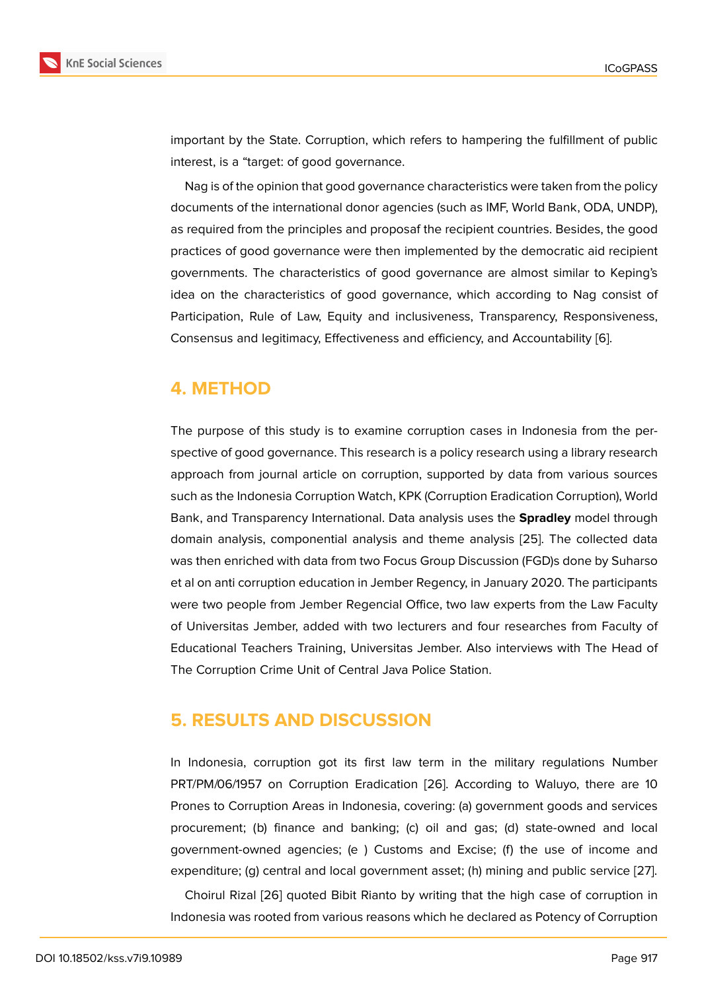important by the State. Corruption, which refers to hampering the fulfillment of public interest, is a "target: of good governance.

Nag is of the opinion that good governance characteristics were taken from the policy documents of the international donor agencies (such as IMF, World Bank, ODA, UNDP), as required from the principles and proposaf the recipient countries. Besides, the good practices of good governance were then implemented by the democratic aid recipient governments. The characteristics of good governance are almost similar to Keping's idea on the characteristics of good governance, which according to Nag consist of Participation, Rule of Law, Equity and inclusiveness, Transparency, Responsiveness, Consensus and legitimacy, Effectiveness and efficiency, and Accountability [6].

## **4. METHOD**

The purpose of this study is to examine corruption cases in Indonesia from the perspective of good governance. This research is a policy research using a library research approach from journal article on corruption, supported by data from various sources such as the Indonesia Corruption Watch, KPK (Corruption Eradication Corruption), World Bank, and Transparency International. Data analysis uses the **Spradley** model through domain analysis, componential analysis and theme analysis [25]. The collected data was then enriched with data from two Focus Group Discussion (FGD)s done by Suharso et al on anti corruption education in Jember Regency, in January 2020. The participants were two people from Jember Regencial Office, two law expe[rts](#page-12-2) from the Law Faculty of Universitas Jember, added with two lecturers and four researches from Faculty of Educational Teachers Training, Universitas Jember. Also interviews with The Head of The Corruption Crime Unit of Central Java Police Station.

## **5. RESULTS AND DISCUSSION**

In Indonesia, corruption got its first law term in the military regulations Number PRT/PM/06/1957 on Corruption Eradication [26]. According to Waluyo, there are 10 Prones to Corruption Areas in Indonesia, covering: (a) government goods and services procurement; (b) finance and banking; (c) oil and gas; (d) state-owned and local government-owned agencies; (e ) Customs [an](#page-12-3)d Excise; (f) the use of income and expenditure; (g) central and local government asset; (h) mining and public service [27].

Choirul Rizal [26] quoted Bibit Rianto by writing that the high case of corruption in Indonesia was rooted from various reasons which he declared as Potency of Corrup[tion](#page-12-4)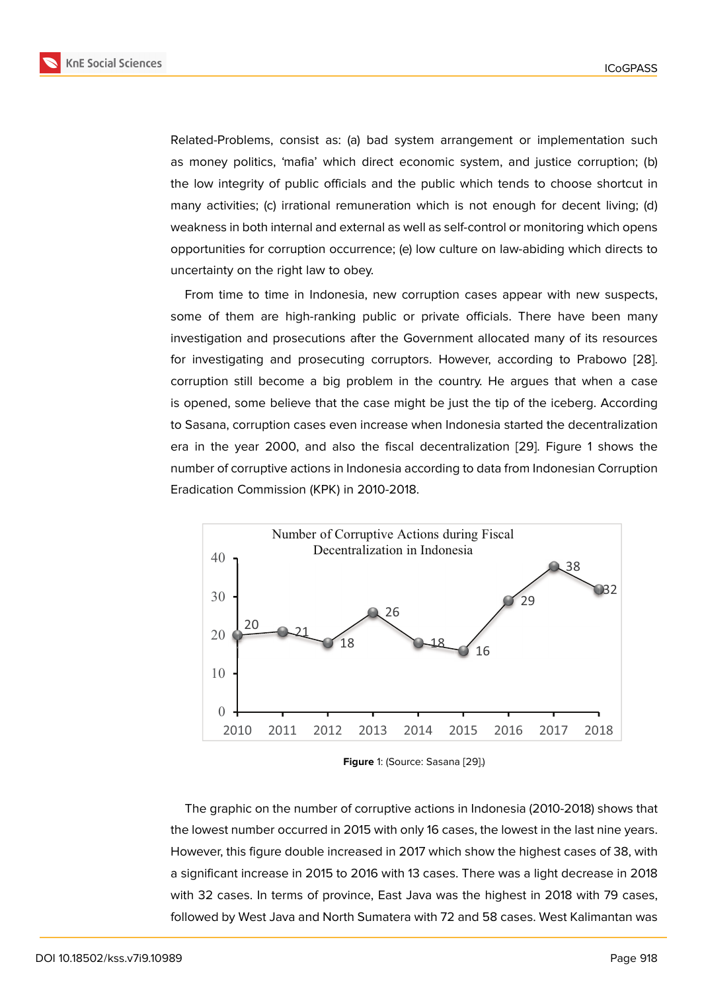Related-Problems, consist as: (a) bad system arrangement or implementation such as money politics, 'mafia' which direct economic system, and justice corruption; (b) the low integrity of public officials and the public which tends to choose shortcut in many activities; (c) irrational remuneration which is not enough for decent living; (d) weakness in both internal and external as well as self-control or monitoring which opens opportunities for corruption occurrence; (e) low culture on law-abiding which directs to uncertainty on the right law to obey.

From time to time in Indonesia, new corruption cases appear with new suspects, some of them are high-ranking public or private officials. There have been many investigation and prosecutions after the Government allocated many of its resources for investigating and prosecuting corruptors. However, according to Prabowo [28]. corruption still become a big problem in the country. He argues that when a case is opened, some believe that the case might be just the tip of the iceberg. According to Sasana, corruption cases even increase when Indonesia started the decentraliz[ation](#page-12-5) era in the year 2000, and also the fiscal decentralization [29]. Figure 1 shows the number of corruptive actions in Indonesia according to data from Indonesian Corruption Eradication Commission (KPK) in 2010-2018.



**Figure** 1: (Source: Sasana [29].)

The graphic on the number of corruptive actions in Indonesia (2010-2018) shows that the lowest number occurred in 2015 with only 16 cas[es,](#page-12-6) the lowest in the last nine years. However, this figure double increased in 2017 which show the highest cases of 38, with a significant increase in 2015 to 2016 with 13 cases. There was a light decrease in 2018 with 32 cases. In terms of province, East Java was the highest in 2018 with 79 cases, followed by West Java and North Sumatera with 72 and 58 cases. West Kalimantan was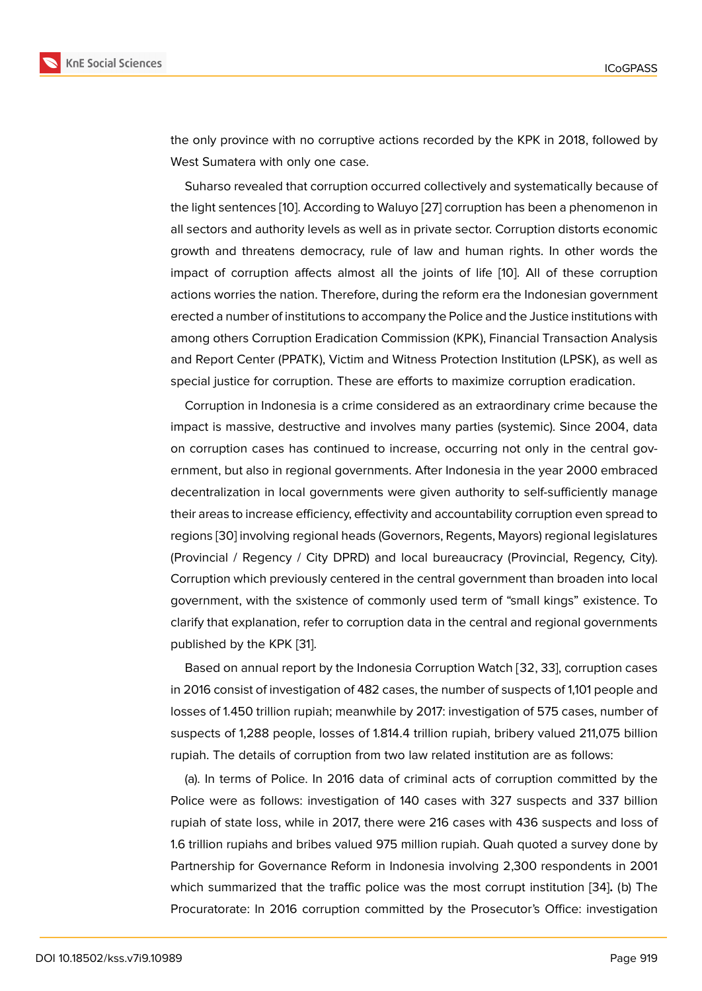the only province with no corruptive actions recorded by the KPK in 2018, followed by West Sumatera with only one case.

Suharso revealed that corruption occurred collectively and systematically because of the light sentences [10]. According to Waluyo [27] corruption has been a phenomenon in all sectors and authority levels as well as in private sector. Corruption distorts economic growth and threatens democracy, rule of law and human rights. In other words the impact of corruptio[n](#page-11-3) affects almost all the [join](#page-12-4)ts of life [10]. All of these corruption actions worries the nation. Therefore, during the reform era the Indonesian government erected a number of institutions to accompany the Police and the Justice institutions with among others Corruption Eradication Commission (KPK), Fi[nan](#page-11-3)cial Transaction Analysis and Report Center (PPATK), Victim and Witness Protection Institution (LPSK), as well as special justice for corruption. These are efforts to maximize corruption eradication.

Corruption in Indonesia is a crime considered as an extraordinary crime because the impact is massive, destructive and involves many parties (systemic). Since 2004, data on corruption cases has continued to increase, occurring not only in the central government, but also in regional governments. After Indonesia in the year 2000 embraced decentralization in local governments were given authority to self-sufficiently manage their areas to increase efficiency, effectivity and accountability corruption even spread to regions [30] involving regional heads (Governors, Regents, Mayors) regional legislatures (Provincial / Regency / City DPRD) and local bureaucracy (Provincial, Regency, City). Corruption which previously centered in the central government than broaden into local govern[men](#page-12-7)t, with the sxistence of commonly used term of "small kings" existence. To clarify that explanation, refer to corruption data in the central and regional governments published by the KPK [31].

Based on annual report by the Indonesia Corruption Watch [32, 33], corruption cases in 2016 consist of investigation of 482 cases, the number of suspects of 1,101 people and losses of 1.450 trillion r[up](#page-13-0)iah; meanwhile by 2017: investigation of 575 cases, number of suspects of 1,288 people, losses of 1.814.4 trillion rupiah, bribery valued 211,075 billion rupiah. The details of corruption from two law related institution are as follows:

(a). In terms of Police. In 2016 data of criminal acts of corruption committed by the Police were as follows: investigation of 140 cases with 327 suspects and 337 billion rupiah of state loss, while in 2017, there were 216 cases with 436 suspects and loss of 1.6 trillion rupiahs and bribes valued 975 million rupiah. Quah quoted a survey done by Partnership for Governance Reform in Indonesia involving 2,300 respondents in 2001 which summarized that the traffic police was the most corrupt institution [34]**.** (b) The Procuratorate: In 2016 corruption committed by the Prosecutor's Office: investigation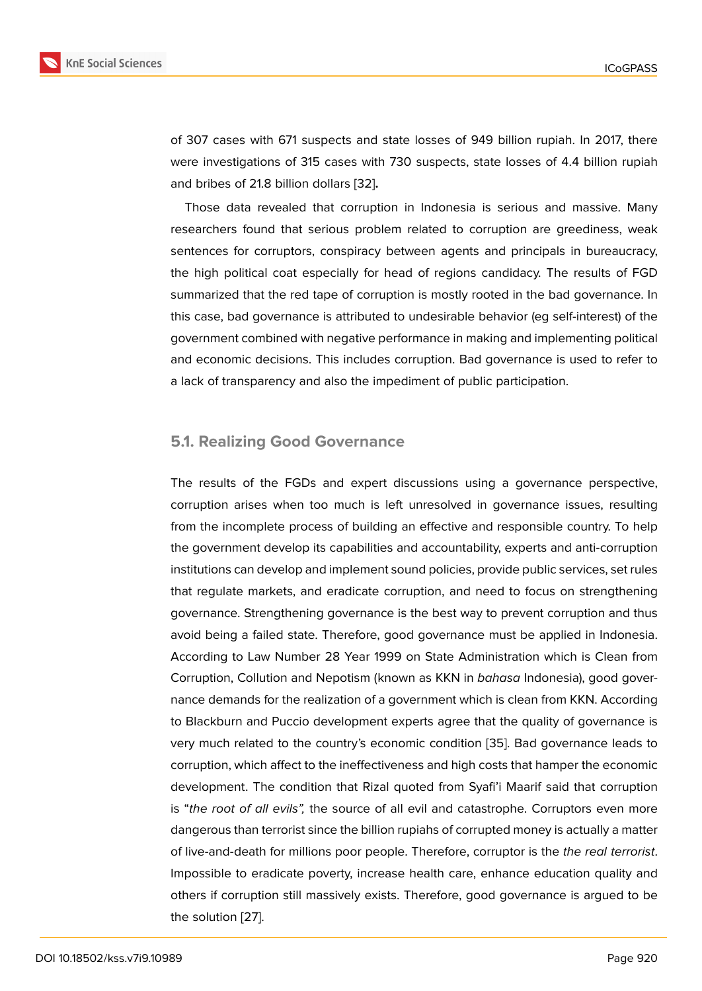of 307 cases with 671 suspects and state losses of 949 billion rupiah. In 2017, there were investigations of 315 cases with 730 suspects, state losses of 4.4 billion rupiah and bribes of 21.8 billion dollars [32]**.**

Those data revealed that corruption in Indonesia is serious and massive. Many researchers found that serious problem related to corruption are greediness, weak sentences for corruptors, consp[irac](#page-13-1)y between agents and principals in bureaucracy, the high political coat especially for head of regions candidacy. The results of FGD summarized that the red tape of corruption is mostly rooted in the bad governance. In this case, bad governance is attributed to undesirable behavior (eg self-interest) of the government combined with negative performance in making and implementing political and economic decisions. This includes corruption. Bad governance is used to refer to a lack of transparency and also the impediment of public participation.

#### **5.1. Realizing Good Governance**

The results of the FGDs and expert discussions using a governance perspective, corruption arises when too much is left unresolved in governance issues, resulting from the incomplete process of building an effective and responsible country. To help the government develop its capabilities and accountability, experts and anti-corruption institutions can develop and implement sound policies, provide public services, set rules that regulate markets, and eradicate corruption, and need to focus on strengthening governance. Strengthening governance is the best way to prevent corruption and thus avoid being a failed state. Therefore, good governance must be applied in Indonesia. According to Law Number 28 Year 1999 on State Administration which is Clean from Corruption, Collution and Nepotism (known as KKN in *bahasa* Indonesia), good governance demands for the realization of a government which is clean from KKN. According to Blackburn and Puccio development experts agree that the quality of governance is very much related to the country's economic condition [35]. Bad governance leads to corruption, which affect to the ineffectiveness and high costs that hamper the economic development. The condition that Rizal quoted from Syafi'i Maarif said that corruption is "*the root of all evils",* the source of all evil and catas[trop](#page-13-2)he. Corruptors even more dangerous than terrorist since the billion rupiahs of corrupted money is actually a matter of live-and-death for millions poor people. Therefore, corruptor is the *the real terrorist*. Impossible to eradicate poverty, increase health care, enhance education quality and others if corruption still massively exists. Therefore, good governance is argued to be the solution [27].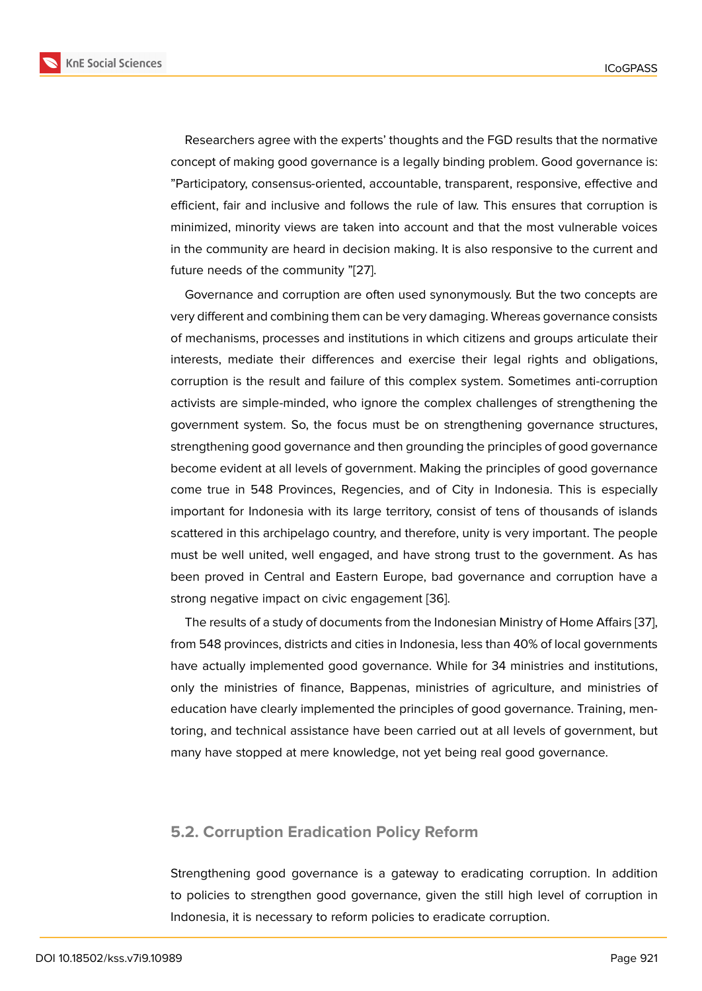Researchers agree with the experts' thoughts and the FGD results that the normative concept of making good governance is a legally binding problem. Good governance is: "Participatory, consensus-oriented, accountable, transparent, responsive, effective and efficient, fair and inclusive and follows the rule of law. This ensures that corruption is minimized, minority views are taken into account and that the most vulnerable voices in the community are heard in decision making. It is also responsive to the current and future needs of the community "[27].

Governance and corruption are often used synonymously. But the two concepts are very different and combining them can be very damaging. Whereas governance consists of mechanisms, processes and i[nsti](#page-12-4)tutions in which citizens and groups articulate their interests, mediate their differences and exercise their legal rights and obligations, corruption is the result and failure of this complex system. Sometimes anti-corruption activists are simple-minded, who ignore the complex challenges of strengthening the government system. So, the focus must be on strengthening governance structures, strengthening good governance and then grounding the principles of good governance become evident at all levels of government. Making the principles of good governance come true in 548 Provinces, Regencies, and of City in Indonesia. This is especially important for Indonesia with its large territory, consist of tens of thousands of islands scattered in this archipelago country, and therefore, unity is very important. The people must be well united, well engaged, and have strong trust to the government. As has been proved in Central and Eastern Europe, bad governance and corruption have a strong negative impact on civic engagement [36].

The results of a study of documents from the Indonesian Ministry of Home Affairs [37], from 548 provinces, districts and cities in Indonesia, less than 40% of local governments have actually implemented good governanc[e. W](#page-13-3)hile for 34 ministries and institutions, only the ministries of finance, Bappenas, ministries of agriculture, and ministrie[s o](#page-13-4)f education have clearly implemented the principles of good governance. Training, mentoring, and technical assistance have been carried out at all levels of government, but many have stopped at mere knowledge, not yet being real good governance.

#### **5.2. Corruption Eradication Policy Reform**

Strengthening good governance is a gateway to eradicating corruption. In addition to policies to strengthen good governance, given the still high level of corruption in Indonesia, it is necessary to reform policies to eradicate corruption.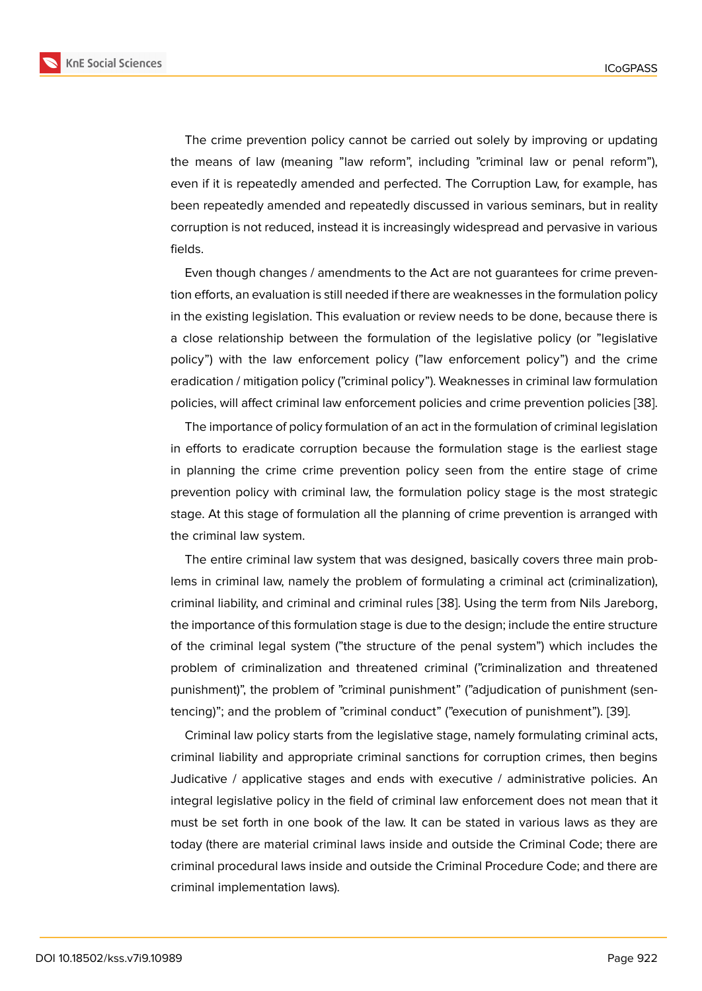The crime prevention policy cannot be carried out solely by improving or updating the means of law (meaning "law reform", including "criminal law or penal reform"), even if it is repeatedly amended and perfected. The Corruption Law, for example, has been repeatedly amended and repeatedly discussed in various seminars, but in reality corruption is not reduced, instead it is increasingly widespread and pervasive in various fields.

Even though changes / amendments to the Act are not guarantees for crime prevention efforts, an evaluation is still needed if there are weaknesses in the formulation policy in the existing legislation. This evaluation or review needs to be done, because there is a close relationship between the formulation of the legislative policy (or "legislative policy") with the law enforcement policy ("law enforcement policy") and the crime eradication / mitigation policy ("criminal policy"). Weaknesses in criminal law formulation policies, will affect criminal law enforcement policies and crime prevention policies [38].

The importance of policy formulation of an act in the formulation of criminal legislation in efforts to eradicate corruption because the formulation stage is the earliest stage in planning the crime crime prevention policy seen from the entire stage of cr[ime](#page-13-5) prevention policy with criminal law, the formulation policy stage is the most strategic stage. At this stage of formulation all the planning of crime prevention is arranged with the criminal law system.

The entire criminal law system that was designed, basically covers three main problems in criminal law, namely the problem of formulating a criminal act (criminalization), criminal liability, and criminal and criminal rules [38]. Using the term from Nils Jareborg, the importance of this formulation stage is due to the design; include the entire structure of the criminal legal system ("the structure of the penal system") which includes the problem of criminalization and threatened cri[min](#page-13-5)al ("criminalization and threatened punishment)", the problem of "criminal punishment" ("adjudication of punishment (sentencing)"; and the problem of "criminal conduct" ("execution of punishment"). [39].

Criminal law policy starts from the legislative stage, namely formulating criminal acts, criminal liability and appropriate criminal sanctions for corruption crimes, then begins Judicative / applicative stages and ends with executive / administrative pol[icie](#page-13-6)s. An integral legislative policy in the field of criminal law enforcement does not mean that it must be set forth in one book of the law. It can be stated in various laws as they are today (there are material criminal laws inside and outside the Criminal Code; there are criminal procedural laws inside and outside the Criminal Procedure Code; and there are criminal implementation laws).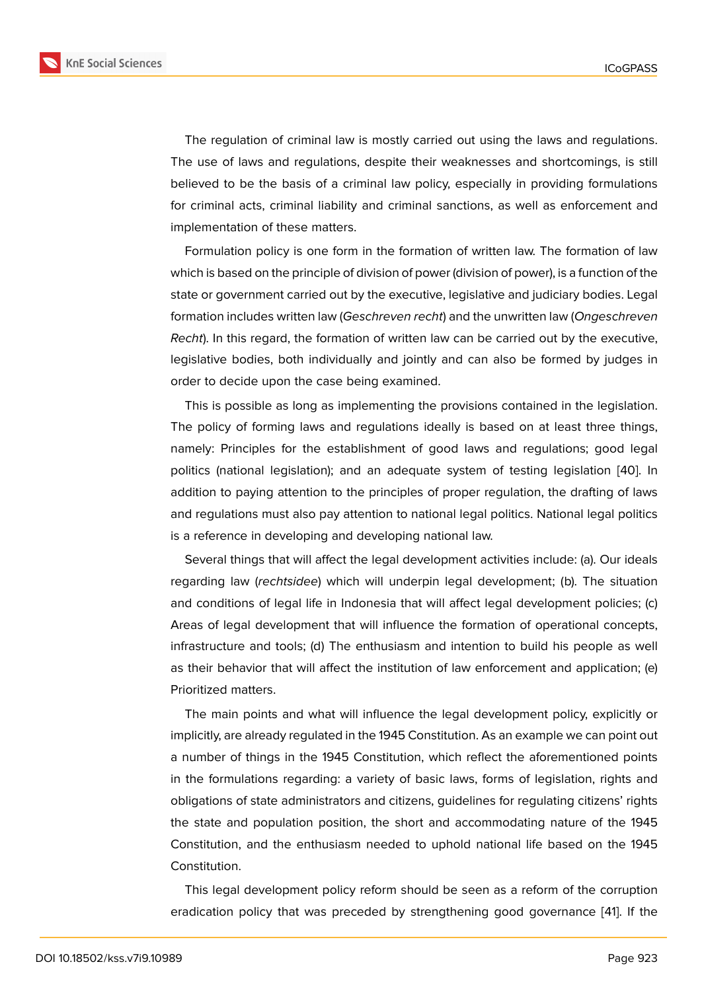The regulation of criminal law is mostly carried out using the laws and regulations. The use of laws and regulations, despite their weaknesses and shortcomings, is still believed to be the basis of a criminal law policy, especially in providing formulations for criminal acts, criminal liability and criminal sanctions, as well as enforcement and implementation of these matters.

Formulation policy is one form in the formation of written law. The formation of law which is based on the principle of division of power (division of power), is a function of the state or government carried out by the executive, legislative and judiciary bodies. Legal formation includes written law (*Geschreven recht*) and the unwritten law (*Ongeschreven Recht*). In this regard, the formation of written law can be carried out by the executive, legislative bodies, both individually and jointly and can also be formed by judges in order to decide upon the case being examined.

This is possible as long as implementing the provisions contained in the legislation. The policy of forming laws and regulations ideally is based on at least three things, namely: Principles for the establishment of good laws and regulations; good legal politics (national legislation); and an adequate system of testing legislation [40]. In addition to paying attention to the principles of proper regulation, the drafting of laws and regulations must also pay attention to national legal politics. National legal politics is a reference in developing and developing national law.

Several things that will affect the legal development activities include: (a). Our ideals regarding law (*rechtsidee*) which will underpin legal development; (b). The situation and conditions of legal life in Indonesia that will affect legal development policies; (c) Areas of legal development that will influence the formation of operational concepts, infrastructure and tools; (d) The enthusiasm and intention to build his people as well as their behavior that will affect the institution of law enforcement and application; (e) Prioritized matters.

The main points and what will influence the legal development policy, explicitly or implicitly, are already regulated in the 1945 Constitution. As an example we can point out a number of things in the 1945 Constitution, which reflect the aforementioned points in the formulations regarding: a variety of basic laws, forms of legislation, rights and obligations of state administrators and citizens, guidelines for regulating citizens' rights the state and population position, the short and accommodating nature of the 1945 Constitution, and the enthusiasm needed to uphold national life based on the 1945 Constitution.

This legal development policy reform should be seen as a reform of the corruption eradication policy that was preceded by strengthening good governance [41]. If the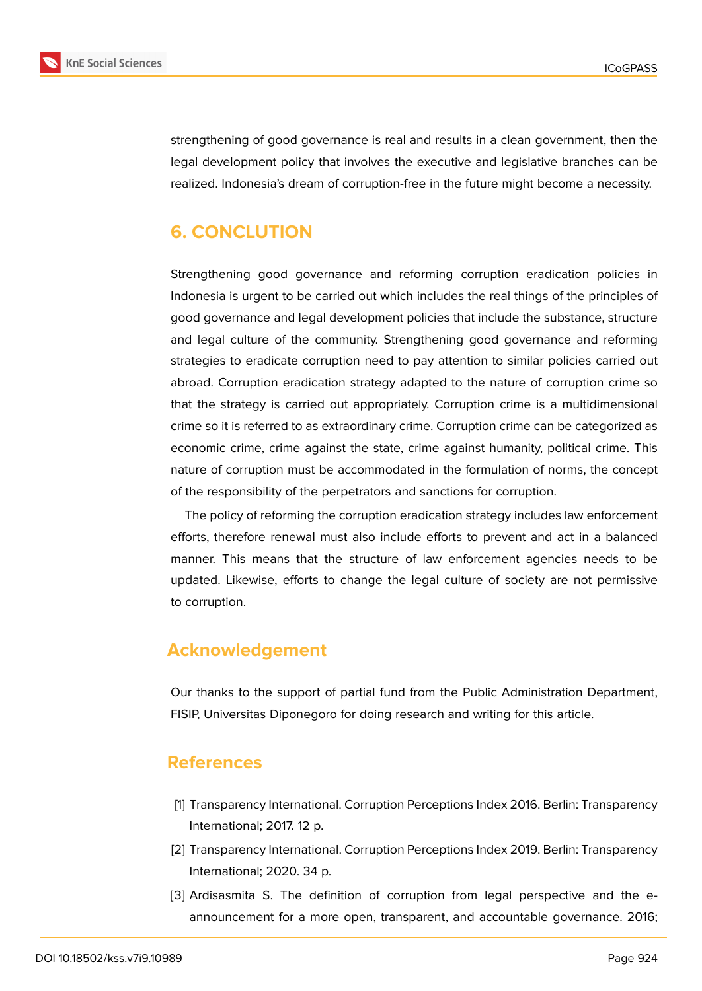

strengthening of good governance is real and results in a clean government, then the legal development policy that involves the executive and legislative branches can be realized. Indonesia's dream of corruption-free in the future might become a necessity.

# **6. CONCLUTION**

Strengthening good governance and reforming corruption eradication policies in Indonesia is urgent to be carried out which includes the real things of the principles of good governance and legal development policies that include the substance, structure and legal culture of the community. Strengthening good governance and reforming strategies to eradicate corruption need to pay attention to similar policies carried out abroad. Corruption eradication strategy adapted to the nature of corruption crime so that the strategy is carried out appropriately. Corruption crime is a multidimensional crime so it is referred to as extraordinary crime. Corruption crime can be categorized as economic crime, crime against the state, crime against humanity, political crime. This nature of corruption must be accommodated in the formulation of norms, the concept of the responsibility of the perpetrators and sanctions for corruption.

The policy of reforming the corruption eradication strategy includes law enforcement efforts, therefore renewal must also include efforts to prevent and act in a balanced manner. This means that the structure of law enforcement agencies needs to be updated. Likewise, efforts to change the legal culture of society are not permissive to corruption.

# **Acknowledgement**

Our thanks to the support of partial fund from the Public Administration Department, FISIP, Universitas Diponegoro for doing research and writing for this article.

### **References**

- [1] Transparency International. Corruption Perceptions Index 2016. Berlin: Transparency International; 2017. 12 p.
- [2] Transparency International. Corruption Perceptions Index 2019. Berlin: Transparency International; 2020. 34 p.
- [3] Ardisasmita S. The definition of corruption from legal perspective and the eannouncement for a more open, transparent, and accountable governance. 2016;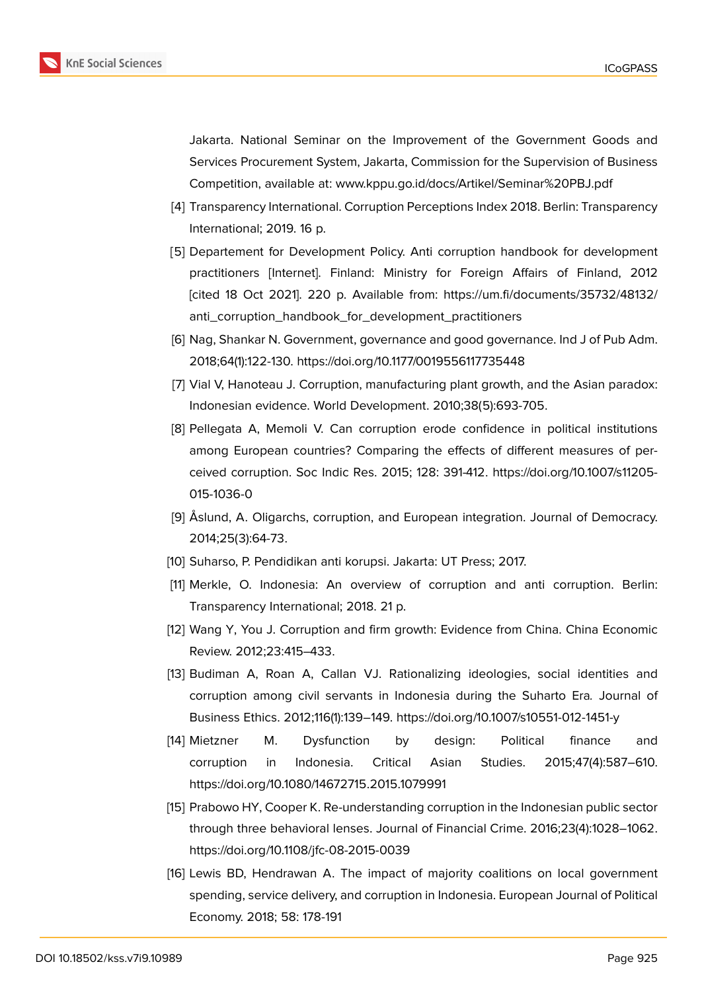Jakarta. National Seminar on the Improvement of the Government Goods and Services Procurement System, Jakarta, Commission for the Supervision of Business Competition, available at: www.kppu.go.id/docs/Artikel/Seminar%20PBJ.pdf

- [4] Transparency International. Corruption Perceptions Index 2018. Berlin: Transparency International; 2019. 16 p.
- [5] Departement for Development Policy. Anti corruption handbook for development practitioners [Internet]. Finland: Ministry for Foreign Affairs of Finland, 2012 [cited 18 Oct 2021]. 220 p. Available from: https://um.fi/documents/35732/48132/ anti\_corruption\_handbook\_for\_development\_practitioners
- <span id="page-11-0"></span>[6] Nag, Shankar N. Government, governance and good governance. Ind J of Pub Adm. 2018;64(1):122-130. https://doi.org/10.1177/0019[556117735448](https://um.fi/documents/35732/48132/anti_corruption_handbook_for_development_practitioners)
- <span id="page-11-1"></span>[7] [Vial V, Hanoteau J. Corruption, manufacturing plant growth,](https://um.fi/documents/35732/48132/anti_corruption_handbook_for_development_practitioners) and the Asian paradox: Indonesian evidence. World Development. 2010;38(5):693-705.
- [8] Pellegata A, Memoli V. Can corruption erode confidence in political institutions among European countries? Comparing the effects of different measures of perceived corruption. Soc Indic Res. 2015; 128: 391-412. https://doi.org/10.1007/s11205- 015-1036-0
- [9] Åslund, A. Oligarchs, corruption, and European integration. Journal of Democracy. 2014;25(3):64-73.
- <span id="page-11-2"></span>[10] Suharso, P. Pendidikan anti korupsi. Jakarta: UT Press; 2017.
- [11] Merkle, O. Indonesia: An overview of corruption and anti corruption. Berlin: Transparency International; 2018. 21 p.
- <span id="page-11-4"></span><span id="page-11-3"></span>[12] Wang Y, You J. Corruption and firm growth: Evidence from China. China Economic Review. 2012;23:415–433.
- <span id="page-11-5"></span>[13] Budiman A, Roan A, Callan VJ. Rationalizing ideologies, social identities and corruption among civil servants in Indonesia during the Suharto Era*.* Journal of Business Ethics. 2012;116(1):139–149. https://doi.org/10.1007/s10551-012-1451-y
- [14] Mietzner M. Dysfunction by design: Political finance and corruption in Indonesia. Critical Asian Studies. 2015;47(4):587–610. https://doi.org/10.1080/14672715.2015.1079991
- [15] Prabowo HY, Cooper K. Re-understanding corruption in the Indonesian public sector through three behavioral lenses. Journal of Financial Crime. 2016;23(4):1028–1062. https://doi.org/10.1108/jfc-08-2015-0039
- <span id="page-11-6"></span>[16] Lewis BD, Hendrawan A. The impact of majority coalitions on local government spending, service delivery, and corruption in Indonesia. European Journal of Political Economy. 2018; 58: 178-191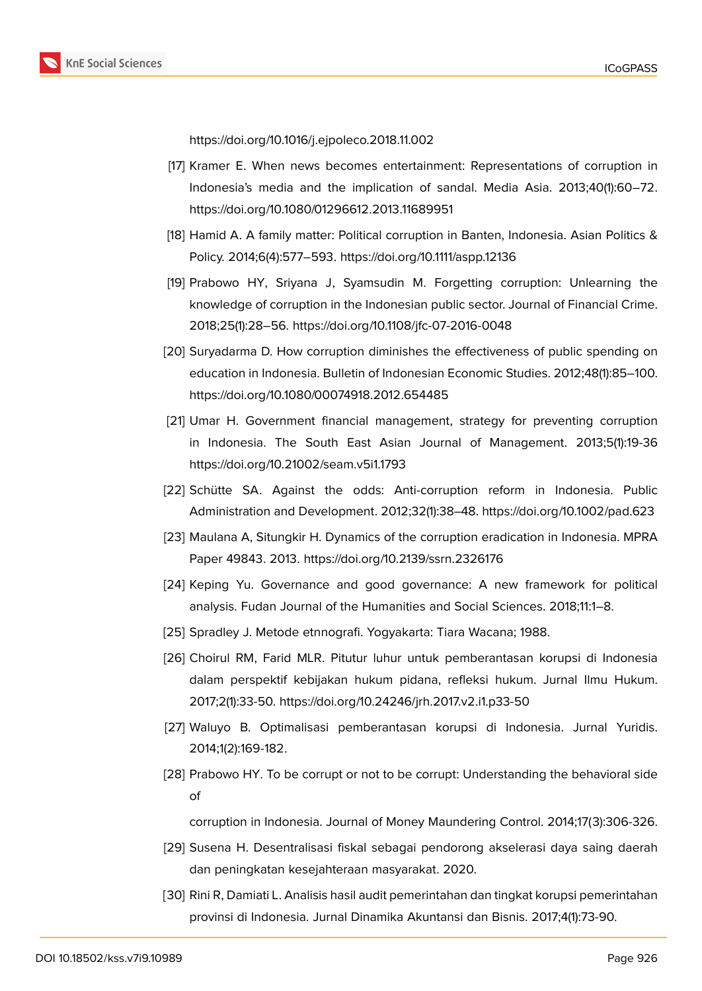https://doi.org/10.1016/j.ejpoleco.2018.11.002

- [17] Kramer E. When news becomes entertainment: Representations of corruption in Indonesia's media and the implication of sandal. Media Asia. 2013;40(1):60–72. https://doi.org/10.1080/01296612.2013.11689951
- [18] Hamid A. A family matter: Political corruption in Banten, Indonesia. Asian Politics & Policy. 2014;6(4):577–593. https://doi.org/10.1111/aspp.12136
- [19] Prabowo HY, Sriyana J, Syamsudin M. Forgetting corruption: Unlearning the knowledge of corruption in the Indonesian public sector. Journal of Financial Crime. 2018;25(1):28–56. https://doi.org/10.1108/jfc-07-2016-0048
- [20] Suryadarma D. How corruption diminishes the effectiveness of public spending on education in Indonesia. Bulletin of Indonesian Economic Studies. 2012;48(1):85–100. https://doi.org/10.1080/00074918.2012.654485
- <span id="page-12-0"></span>[21] Umar H. Government financial management, strategy for preventing corruption in Indonesia. The South East Asian Journal of Management. 2013;5(1):19-36 https://doi.org/10.21002/seam.v5i1.1793
- [22] Schütte SA. Against the odds: Anti-corruption reform in Indonesia. Public Administration and Development. 2012;32(1):38–48. https://doi.org/10.1002/pad.623
- [23] Maulana A, Situngkir H. Dynamics of the corruption eradication in Indonesia. MPRA Paper 49843. 2013. https://doi.org/10.2139/ssrn.2326176
- <span id="page-12-1"></span>[24] Keping Yu. Governance and good governance: A new framework for political analysis. Fudan Journal of the Humanities and Social Sciences. 2018;11:1–8.
- <span id="page-12-2"></span>[25] Spradley J. Metode etnnografi. Yogyakarta: Tiara Wacana; 1988.
- <span id="page-12-3"></span>[26] Choirul RM, Farid MLR. Pitutur luhur untuk pemberantasan korupsi di Indonesia dalam perspektif kebijakan hukum pidana, refleksi hukum. Jurnal Ilmu Hukum. 2017;2(1):33-50. https://doi.org/10.24246/jrh.2017.v2.i1.p33-50
- <span id="page-12-4"></span>[27] Waluyo B. Optimalisasi pemberantasan korupsi di Indonesia. Jurnal Yuridis. 2014;1(2):169-182.
- <span id="page-12-5"></span>[28] Prabowo HY. To be corrupt or not to be corrupt: Understanding the behavioral side of

corruption in Indonesia. Journal of Money Maundering Control. 2014;17(3):306-326.

- <span id="page-12-6"></span>[29] Susena H. Desentralisasi fiskal sebagai pendorong akselerasi daya saing daerah dan peningkatan kesejahteraan masyarakat. 2020.
- <span id="page-12-7"></span>[30] Rini R, Damiati L. Analisis hasil audit pemerintahan dan tingkat korupsi pemerintahan provinsi di Indonesia. Jurnal Dinamika Akuntansi dan Bisnis. 2017;4(1):73-90.